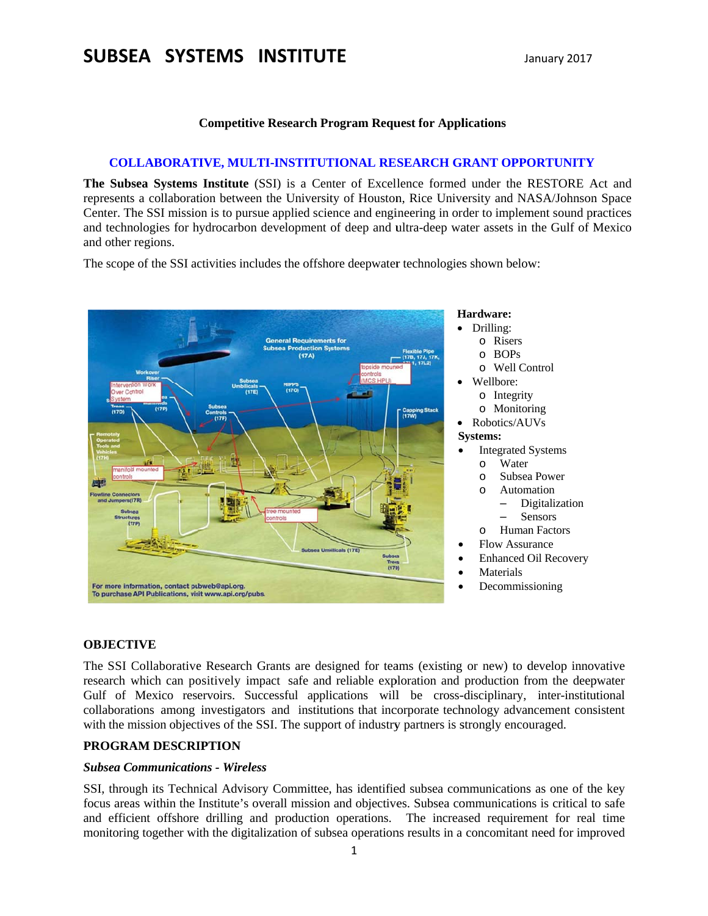# SUBSEA SYSTEMS INSTITUTE

#### **Competitive Research Program Request for Applications**

#### **COLLABORATIVE, MULTI-INSTITUTIONAL RESEARCH GRANT OPPORTUNITY**

The Subsea Systems Institute (SSI) is a Center of Excellence formed under the RESTORE Act and represents a collaboration between the University of Houston, Rice University and NASA/Johnson Space Center. The SSI mission is to pursue applied science and engineering in order to implement sound practices and technologies for hydrocarbon development of deep and ultra-deep water assets in the Gulf of Mexico and other regions.

The scope of the SSI activities includes the offshore deepwater technologies shown below:



#### **OBJECTIVE**

The SSI Collaborative Research Grants are designed for teams (existing or new) to develop innovative research which can positively impact safe and reliable exploration and production from the deepwater Gulf of Mexico reservoirs. Successful applications will be cross-disciplinary, inter-institutional collaborations among investigators and institutions that incorporate technology advancement consistent with the mission objectives of the SSI. The support of industry partners is strongly encouraged.

### PROGRAM DESCRIPTION

#### **Subsea Communications - Wireless**

SSI, through its Technical Advisory Committee, has identified subsea communications as one of the key focus areas within the Institute's overall mission and objectives. Subsea communications is critical to safe and efficient offshore drilling and production operations. The increased requirement for real time monitoring together with the digitalization of subsea operations results in a concomitant need for improved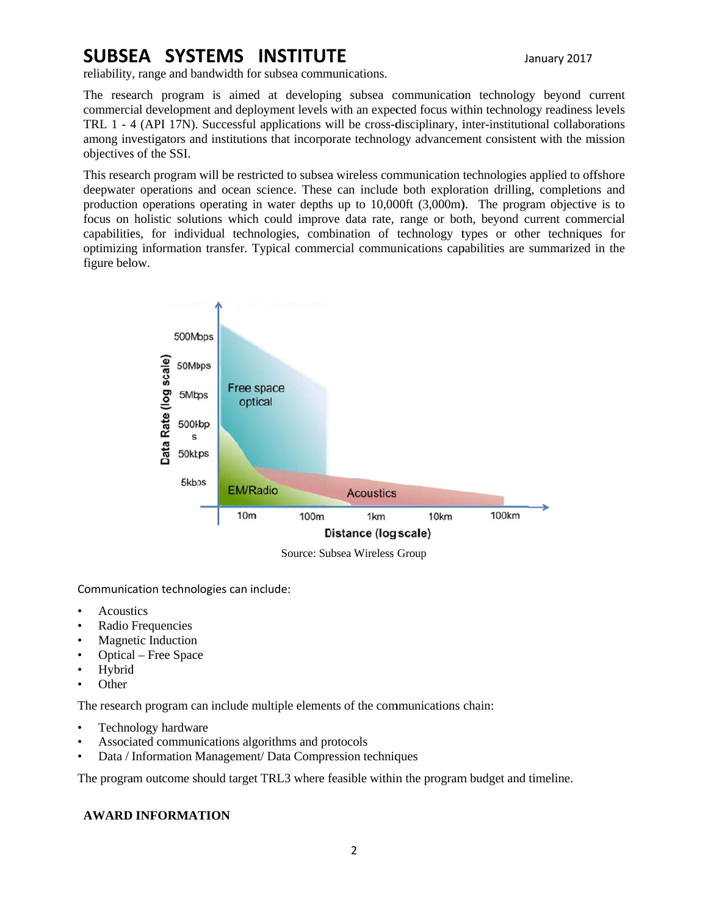# SUBSEA SYSTEMS INSTITUTE

January 2017

reliability, range and bandwidth for subsea communications.

The research program is aimed at developing subsea communication technology beyond current commercial development and deployment levels with an expected focus within technology readiness levels TRL 1 - 4 (API 17N). Successful applications will be cross-disciplinary, inter-institutional collaborations among investigators and institutions that incorporate technology advancement consistent with the mission objectives of the SSI.

This research program will be restricted to subsea wireless communication technologies applied to offshore deepwater operations and ocean science. These can include both exploration drilling, completions and production operations operating in water depths up to 10,000ft (3,000m). The program objective is to focus on holistic solutions which could improve data rate, range or both, beyond current commercial capabilities, for individual technologies, combination of technology types or other techniques for optimizing information transfer. Typical commercial communications capabilities are summarized in the figure below.



Source: Subsea Wireless Group

Communication technologies can include:

- **Acoustics**
- Radio Frequencies
- **Magnetic Induction**
- Optical Free Space
- Hybrid
- Other

The research program can include multiple elements of the communications chain:

- Technology hardware
- Associated communications algorithms and protocols  $\bullet$
- Data / Information Management/ Data Compression techniques  $\bullet$

The program outcome should target TRL3 where feasible within the program budget and timeline.

## **AWARD INFORMATION**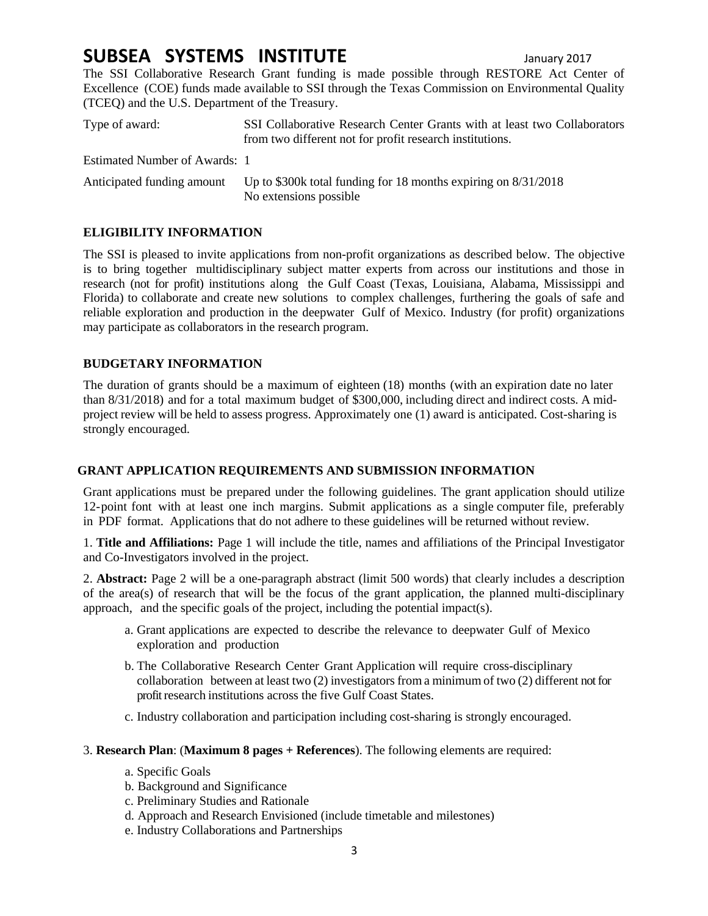# **SUBSEA SYSTEMS INSTITUTE** January <sup>2017</sup>

The SSI Collaborative Research Grant funding is made possible through RESTORE Act Center of Excellence (COE) funds made available to SSI through the Texas Commission on Environmental Quality (TCEQ) and the U.S. Department of the Treasury.

| Type of award:                | SSI Collaborative Research Center Grants with at least two Collaborators<br>from two different not for profit research institutions. |
|-------------------------------|--------------------------------------------------------------------------------------------------------------------------------------|
| Estimated Number of Awards: 1 |                                                                                                                                      |
| Anticipated funding amount    | Up to \$300k total funding for 18 months expiring on $8/31/2018$<br>No extensions possible                                           |

# **ELIGIBILITY INFORMATION**

The SSI is pleased to invite applications from non-profit organizations as described below. The objective is to bring together multidisciplinary subject matter experts from across our institutions and those in research (not for profit) institutions along the Gulf Coast (Texas, Louisiana, Alabama, Mississippi and Florida) to collaborate and create new solutions to complex challenges, furthering the goals of safe and reliable exploration and production in the deepwater Gulf of Mexico. Industry (for profit) organizations may participate as collaborators in the research program.

### **BUDGETARY INFORMATION**

The duration of grants should be a maximum of eighteen (18) months (with an expiration date no later than 8/31/2018) and for a total maximum budget of \$300,000, including direct and indirect costs. A midproject review will be held to assess progress. Approximately one (1) award is anticipated. Cost-sharing is strongly encouraged.

## **GRANT APPLICATION REQUIREMENTS AND SUBMISSION INFORMATION**

Grant applications must be prepared under the following guidelines. The grant application should utilize 12-point font with at least one inch margins. Submit applications as a single computer file, preferably in PDF format. Applications that do not adhere to these guidelines will be returned without review.

1. **Title and Affiliations:** Page 1 will include the title, names and affiliations of the Principal Investigator and Co-Investigators involved in the project.

2. **Abstract:** Page 2 will be a one-paragraph abstract (limit 500 words) that clearly includes a description of the area(s) of research that will be the focus of the grant application, the planned multi-disciplinary approach, and the specific goals of the project, including the potential impact(s).

- a. Grant applications are expected to describe the relevance to deepwater Gulf of Mexico exploration and production
- b. The Collaborative Research Center Grant Application will require cross-disciplinary collaboration between at least two (2) investigators from a minimum of two (2) different not for profit research institutions across the five Gulf Coast States.
- c. Industry collaboration and participation including cost-sharing is strongly encouraged.
- 3. **Research Plan**: (**Maximum 8 pages + References**). The following elements are required:
	- a. Specific Goals
	- b. Background and Significance
	- c. Preliminary Studies and Rationale
	- d. Approach and Research Envisioned (include timetable and milestones)
	- e. Industry Collaborations and Partnerships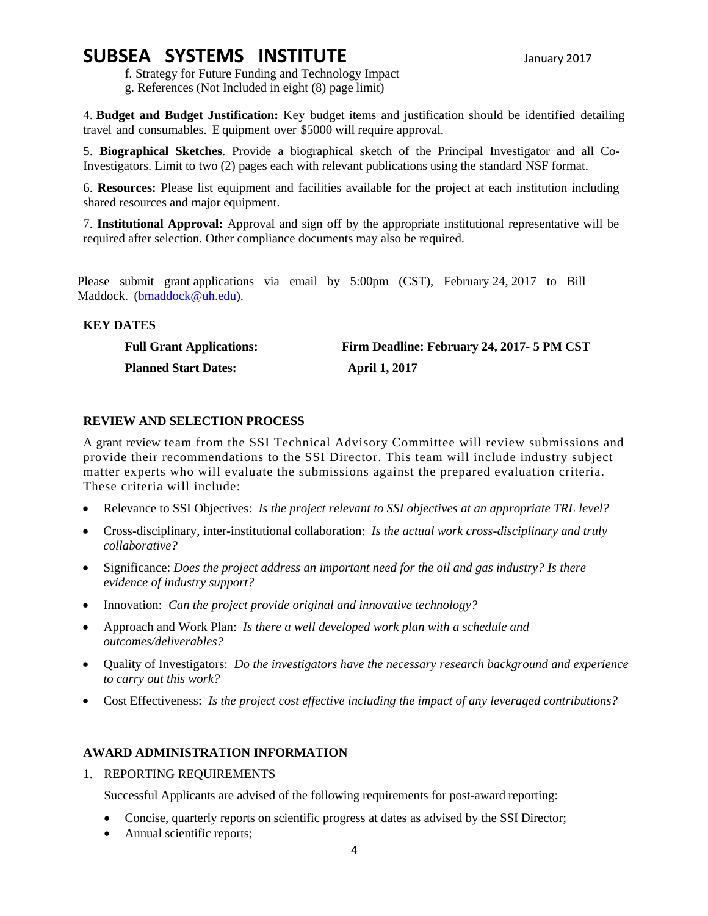# **SUBSEA SYSTEMS INSTITUTE** January <sup>2017</sup>

f. Strategy for Future Funding and Technology Impact g. References (Not Included in eight (8) page limit)

4. **Budget and Budget Justification:** Key budget items and justification should be identified detailing travel and consumables. E quipment over \$5000 will require approval.

5. **Biographical Sketches**. Provide a biographical sketch of the Principal Investigator and all Co-Investigators. Limit to two (2) pages each with relevant publications using the standard NSF format.

6. **Resources:** Please list equipment and facilities available for the project at each institution including shared resources and major equipment.

7. **Institutional Approval:** Approval and sign off by the appropriate institutional representative will be required after selection. Other compliance documents may also be required.

Please submit grant applications via email by 5:00pm (CST), February 24, 2017 to Bill Maddock. (bmaddock@uh.edu).

### **KEY DATES**

| <b>Full Grant Applications:</b> | Firm Deadline: February 24, 2017- 5 PM CST |
|---------------------------------|--------------------------------------------|
| <b>Planned Start Dates:</b>     | <b>April 1, 2017</b>                       |

### **REVIEW AND SELECTION PROCESS**

A grant review team from the SSI Technical Advisory Committee will review submissions and provide their recommendations to the SSI Director. This team will include industry subject matter experts who will evaluate the submissions against the prepared evaluation criteria. These criteria will include:

- Relevance to SSI Objectives: *Is the project relevant to SSI objectives at an appropriate TRL level?*
- Cross-disciplinary, inter-institutional collaboration: *Is the actual work cross-disciplinary and truly collaborative?*
- Significance: *Does the project address an important need for the oil and gas industry? Is there evidence of industry support?*
- Innovation: *Can the project provide original and innovative technology?*
- Approach and Work Plan: *Is there a well developed work plan with a schedule and outcomes/deliverables?*
- Quality of Investigators: *Do the investigators have the necessary research background and experience to carry out this work?*
- Cost Effectiveness: *Is the project cost effective including the impact of any leveraged contributions?*

## **AWARD ADMINISTRATION INFORMATION**

1. REPORTING REQUIREMENTS

Successful Applicants are advised of the following requirements for post-award reporting:

- Concise, quarterly reports on scientific progress at dates as advised by the SSI Director;
- Annual scientific reports;